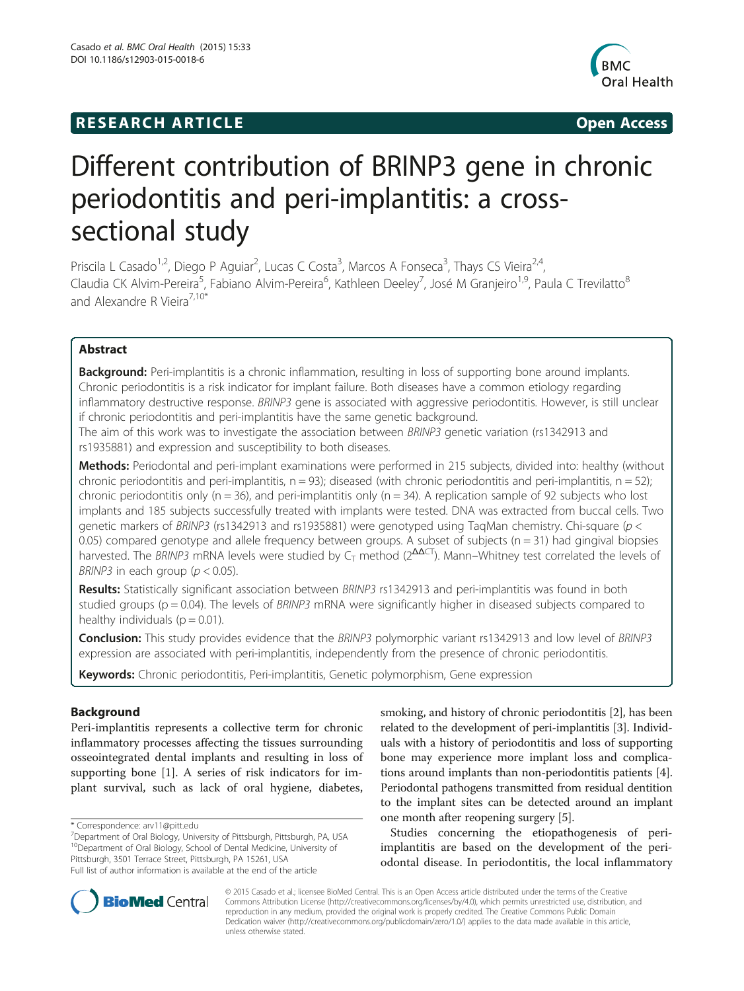# **RESEARCH ARTICLE Example 2014 CONSIDERING CONSIDERING CONSIDERING CONSIDERING CONSIDERING CONSIDERING CONSIDERING CONSIDERING CONSIDERING CONSIDERING CONSIDERING CONSIDERING CONSIDERING CONSIDERING CONSIDERING CONSIDE**



# Different contribution of BRINP3 gene in chronic periodontitis and peri-implantitis: a crosssectional study

Priscila L Casado<sup>1,2</sup>, Diego P Aguiar<sup>2</sup>, Lucas C Costa<sup>3</sup>, Marcos A Fonseca<sup>3</sup>, Thays CS Vieira<sup>2,4</sup>, Claudia CK Alvim-Pereira<sup>5</sup>, Fabiano Alvim-Pereira<sup>6</sup>, Kathleen Deeley<sup>7</sup>, José M Granjeiro<sup>1,9</sup>, Paula C Trevilatto<sup>8</sup> and Alexandre R Vieira<sup>7,10\*</sup>

# Abstract

Background: Peri-implantitis is a chronic inflammation, resulting in loss of supporting bone around implants. Chronic periodontitis is a risk indicator for implant failure. Both diseases have a common etiology regarding inflammatory destructive response. BRINP3 gene is associated with aggressive periodontitis. However, is still unclear if chronic periodontitis and peri-implantitis have the same genetic background.

The aim of this work was to investigate the association between BRINP3 genetic variation (rs1342913 and rs1935881) and expression and susceptibility to both diseases.

Methods: Periodontal and peri-implant examinations were performed in 215 subjects, divided into: healthy (without chronic periodontitis and peri-implantitis,  $n = 93$ ; diseased (with chronic periodontitis and peri-implantitis,  $n = 52$ ); chronic periodontitis only ( $n = 36$ ), and peri-implantitis only ( $n = 34$ ). A replication sample of 92 subjects who lost implants and 185 subjects successfully treated with implants were tested. DNA was extracted from buccal cells. Two genetic markers of BRINP3 (rs1342913 and rs1935881) were genotyped using TaqMan chemistry. Chi-square (p < 0.05) compared genotype and allele frequency between groups. A subset of subjects  $(n = 31)$  had gingival biopsies harvested. The BRINP3 mRNA levels were studied by C<sub>T</sub> method ( $2^{\Delta\Delta CT}$ ). Mann–Whitney test correlated the levels of BRINP3 in each group ( $p < 0.05$ ).

Results: Statistically significant association between BRINP3 rs1342913 and peri-implantitis was found in both studied groups ( $p = 0.04$ ). The levels of BRINP3 mRNA were significantly higher in diseased subjects compared to healthy individuals ( $p = 0.01$ ).

Conclusion: This study provides evidence that the BRINP3 polymorphic variant rs1342913 and low level of BRINP3 expression are associated with peri-implantitis, independently from the presence of chronic periodontitis.

Keywords: Chronic periodontitis, Peri-implantitis, Genetic polymorphism, Gene expression

# Background

Peri-implantitis represents a collective term for chronic inflammatory processes affecting the tissues surrounding osseointegrated dental implants and resulting in loss of supporting bone [\[1](#page-8-0)]. A series of risk indicators for implant survival, such as lack of oral hygiene, diabetes,

\* Correspondence: [arv11@pitt.edu](mailto:arv11@pitt.edu) <sup>7</sup>

Department of Oral Biology, University of Pittsburgh, Pittsburgh, PA, USA 10Department of Oral Biology, School of Dental Medicine, University of Pittsburgh, 3501 Terrace Street, Pittsburgh, PA 15261, USA Full list of author information is available at the end of the article

smoking, and history of chronic periodontitis [\[2\]](#page-8-0), has been related to the development of peri-implantitis [\[3\]](#page-8-0). Individuals with a history of periodontitis and loss of supporting bone may experience more implant loss and complications around implants than non-periodontitis patients [[4](#page-9-0)]. Periodontal pathogens transmitted from residual dentition to the implant sites can be detected around an implant one month after reopening surgery [\[5\]](#page-9-0).

Studies concerning the etiopathogenesis of periimplantitis are based on the development of the periodontal disease. In periodontitis, the local inflammatory



© 2015 Casado et al.; licensee BioMed Central. This is an Open Access article distributed under the terms of the Creative Commons Attribution License [\(http://creativecommons.org/licenses/by/4.0\)](http://creativecommons.org/licenses/by/4.0), which permits unrestricted use, distribution, and reproduction in any medium, provided the original work is properly credited. The Creative Commons Public Domain Dedication waiver [\(http://creativecommons.org/publicdomain/zero/1.0/](http://creativecommons.org/publicdomain/zero/1.0/)) applies to the data made available in this article, unless otherwise stated.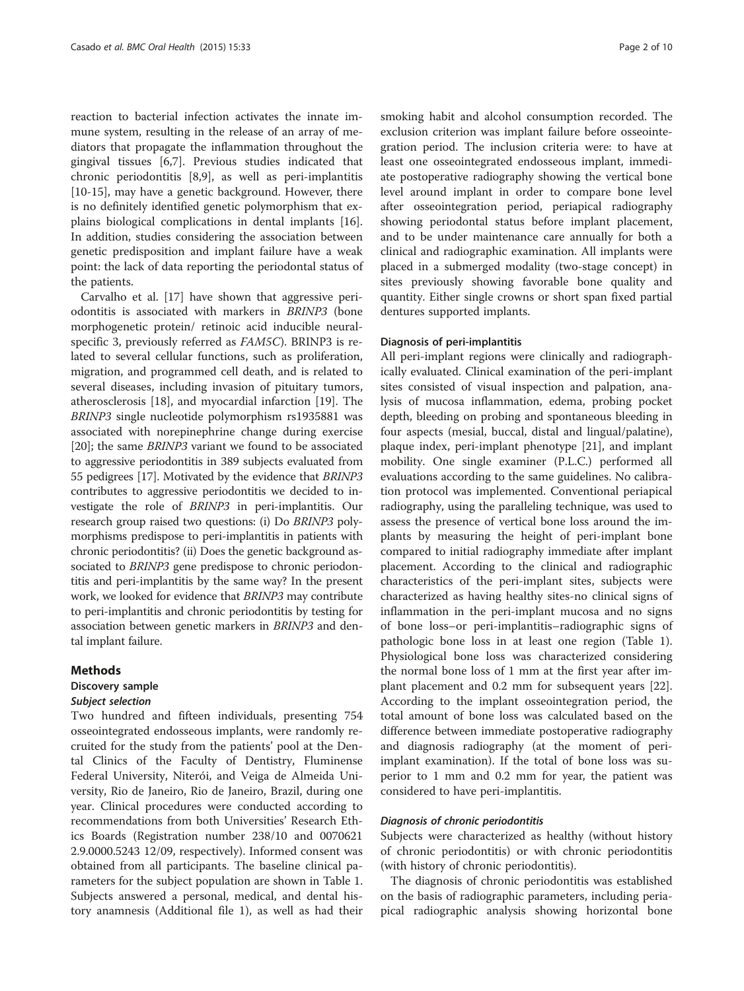reaction to bacterial infection activates the innate immune system, resulting in the release of an array of mediators that propagate the inflammation throughout the gingival tissues [[6,7\]](#page-9-0). Previous studies indicated that chronic periodontitis [\[8,9](#page-9-0)], as well as peri-implantitis [[10-15](#page-9-0)], may have a genetic background. However, there is no definitely identified genetic polymorphism that explains biological complications in dental implants [\[16](#page-9-0)]. In addition, studies considering the association between genetic predisposition and implant failure have a weak point: the lack of data reporting the periodontal status of the patients.

Carvalho et al. [\[17](#page-9-0)] have shown that aggressive periodontitis is associated with markers in BRINP3 (bone morphogenetic protein/ retinoic acid inducible neuralspecific 3, previously referred as FAM5C). BRINP3 is related to several cellular functions, such as proliferation, migration, and programmed cell death, and is related to several diseases, including invasion of pituitary tumors, atherosclerosis [[18](#page-9-0)], and myocardial infarction [[19](#page-9-0)]. The BRINP3 single nucleotide polymorphism rs1935881 was associated with norepinephrine change during exercise [[20\]](#page-9-0); the same BRINP3 variant we found to be associated to aggressive periodontitis in 389 subjects evaluated from 55 pedigrees [[17\]](#page-9-0). Motivated by the evidence that BRINP3 contributes to aggressive periodontitis we decided to investigate the role of BRINP3 in peri-implantitis. Our research group raised two questions: (i) Do BRINP3 polymorphisms predispose to peri-implantitis in patients with chronic periodontitis? (ii) Does the genetic background associated to BRINP3 gene predispose to chronic periodontitis and peri-implantitis by the same way? In the present work, we looked for evidence that BRINP3 may contribute to peri-implantitis and chronic periodontitis by testing for association between genetic markers in BRINP3 and dental implant failure.

#### Methods

# Discovery sample

#### Subject selection

Two hundred and fifteen individuals, presenting 754 osseointegrated endosseous implants, were randomly recruited for the study from the patients' pool at the Dental Clinics of the Faculty of Dentistry, Fluminense Federal University, Niterói, and Veiga de Almeida University, Rio de Janeiro, Rio de Janeiro, Brazil, during one year. Clinical procedures were conducted according to recommendations from both Universities' Research Ethics Boards (Registration number 238/10 and 0070621 2.9.0000.5243 12/09, respectively). Informed consent was obtained from all participants. The baseline clinical parameters for the subject population are shown in Table [1](#page-2-0). Subjects answered a personal, medical, and dental history anamnesis (Additional file [1](#page-8-0)), as well as had their

smoking habit and alcohol consumption recorded. The exclusion criterion was implant failure before osseointegration period. The inclusion criteria were: to have at least one osseointegrated endosseous implant, immediate postoperative radiography showing the vertical bone level around implant in order to compare bone level after osseointegration period, periapical radiography showing periodontal status before implant placement, and to be under maintenance care annually for both a clinical and radiographic examination. All implants were placed in a submerged modality (two-stage concept) in sites previously showing favorable bone quality and quantity. Either single crowns or short span fixed partial dentures supported implants.

#### Diagnosis of peri-implantitis

All peri-implant regions were clinically and radiographically evaluated. Clinical examination of the peri-implant sites consisted of visual inspection and palpation, analysis of mucosa inflammation, edema, probing pocket depth, bleeding on probing and spontaneous bleeding in four aspects (mesial, buccal, distal and lingual/palatine), plaque index, peri-implant phenotype [\[21\]](#page-9-0), and implant mobility. One single examiner (P.L.C.) performed all evaluations according to the same guidelines. No calibration protocol was implemented. Conventional periapical radiography, using the paralleling technique, was used to assess the presence of vertical bone loss around the implants by measuring the height of peri-implant bone compared to initial radiography immediate after implant placement. According to the clinical and radiographic characteristics of the peri-implant sites, subjects were characterized as having healthy sites-no clinical signs of inflammation in the peri-implant mucosa and no signs of bone loss–or peri-implantitis–radiographic signs of pathologic bone loss in at least one region (Table [1](#page-2-0)). Physiological bone loss was characterized considering the normal bone loss of 1 mm at the first year after implant placement and 0.2 mm for subsequent years [\[22](#page-9-0)]. According to the implant osseointegration period, the total amount of bone loss was calculated based on the difference between immediate postoperative radiography and diagnosis radiography (at the moment of periimplant examination). If the total of bone loss was superior to 1 mm and 0.2 mm for year, the patient was considered to have peri-implantitis.

#### Diagnosis of chronic periodontitis

Subjects were characterized as healthy (without history of chronic periodontitis) or with chronic periodontitis (with history of chronic periodontitis).

The diagnosis of chronic periodontitis was established on the basis of radiographic parameters, including periapical radiographic analysis showing horizontal bone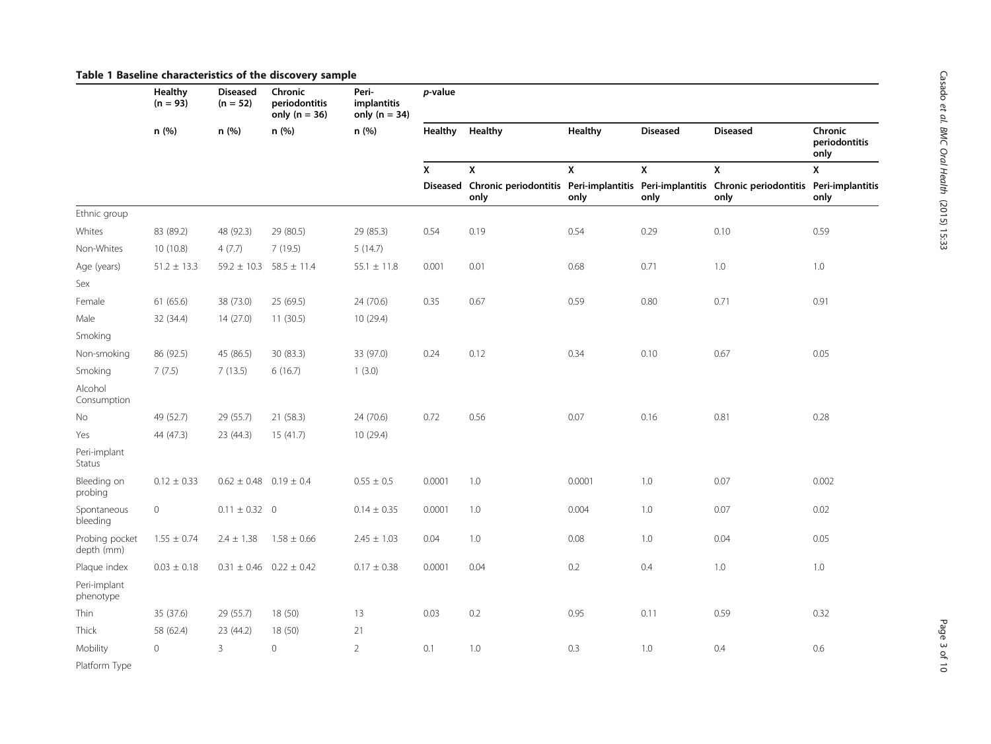|                              | <b>Healthy</b><br>$(n = 93)$<br>n (%) | <b>Diseased</b><br>$(n = 52)$<br>n (%) | Chronic<br>periodontitis<br>only ( $n = 36$ )<br>n (%) | Peri-<br>implantitis<br>only ( $n = 34$ )<br>n (%) | p-value        |                                                                                                                 |              |                    |                    |                                  |  |
|------------------------------|---------------------------------------|----------------------------------------|--------------------------------------------------------|----------------------------------------------------|----------------|-----------------------------------------------------------------------------------------------------------------|--------------|--------------------|--------------------|----------------------------------|--|
|                              |                                       |                                        |                                                        |                                                    | <b>Healthy</b> | Healthy                                                                                                         | Healthy      | <b>Diseased</b>    | <b>Diseased</b>    | Chronic<br>periodontitis<br>only |  |
|                              |                                       |                                        |                                                        |                                                    | X              | $\pmb{\mathsf{x}}$                                                                                              | $\pmb{\chi}$ | $\pmb{\mathsf{x}}$ | $\pmb{\mathsf{x}}$ | X                                |  |
|                              |                                       |                                        |                                                        |                                                    |                | Diseased Chronic periodontitis Peri-implantitis Peri-implantitis Chronic periodontitis Peri-implantitis<br>only | only         | only               | only               | only                             |  |
| Ethnic group                 |                                       |                                        |                                                        |                                                    |                |                                                                                                                 |              |                    |                    |                                  |  |
| Whites                       | 83 (89.2)                             | 48 (92.3)                              | 29 (80.5)                                              | 29 (85.3)                                          | 0.54           | 0.19                                                                                                            | 0.54         | 0.29               | 0.10               | 0.59                             |  |
| Non-Whites                   | 10 (10.8)                             | 4(7.7)                                 | 7(19.5)                                                | 5(14.7)                                            |                |                                                                                                                 |              |                    |                    |                                  |  |
| Age (years)<br>Sex           | $51.2 \pm 13.3$                       |                                        | $59.2 \pm 10.3$ 58.5 $\pm$ 11.4                        | $55.1\,\pm\,11.8$                                  | 0.001          | 0.01                                                                                                            | 0.68         | 0.71               | 1.0                | 1.0                              |  |
| Female                       | 61 (65.6)                             | 38 (73.0)                              | 25 (69.5)                                              | 24 (70.6)                                          | 0.35           | 0.67                                                                                                            | 0.59         | 0.80               | 0.71               | 0.91                             |  |
| Male                         | 32 (34.4)                             | 14 (27.0)                              | 11 (30.5)                                              | 10 (29.4)                                          |                |                                                                                                                 |              |                    |                    |                                  |  |
| Smoking                      |                                       |                                        |                                                        |                                                    |                |                                                                                                                 |              |                    |                    |                                  |  |
| Non-smoking                  | 86 (92.5)                             | 45 (86.5)                              | 30 (83.3)                                              | 33 (97.0)                                          | 0.24           | 0.12                                                                                                            | 0.34         | 0.10               | 0.67               | 0.05                             |  |
| Smoking                      | 7(7.5)                                | 7(13.5)                                | 6(16.7)                                                | 1(3.0)                                             |                |                                                                                                                 |              |                    |                    |                                  |  |
| Alcohol<br>Consumption       |                                       |                                        |                                                        |                                                    |                |                                                                                                                 |              |                    |                    |                                  |  |
| No                           | 49 (52.7)                             | 29 (55.7)                              | 21 (58.3)                                              | 24 (70.6)                                          | 0.72           | 0.56                                                                                                            | 0.07         | 0.16               | 0.81               | 0.28                             |  |
| Yes                          | 44 (47.3)                             | 23 (44.3)                              | 15(41.7)                                               | 10 (29.4)                                          |                |                                                                                                                 |              |                    |                    |                                  |  |
| Peri-implant<br>Status       |                                       |                                        |                                                        |                                                    |                |                                                                                                                 |              |                    |                    |                                  |  |
| Bleeding on<br>probing       | $0.12 \pm 0.33$                       | $0.62 \pm 0.48$ 0.19 $\pm$ 0.4         |                                                        | $0.55 \pm 0.5$                                     | 0.0001         | 1.0                                                                                                             | 0.0001       | 1.0                | 0.07               | 0.002                            |  |
| Spontaneous<br>bleeding      | $\mathbf{0}$                          | $0.11 \pm 0.32$ 0                      |                                                        | $0.14 \pm 0.35$                                    | 0.0001         | 1.0                                                                                                             | 0.004        | 1.0                | 0.07               | 0.02                             |  |
| Probing pocket<br>depth (mm) | $1.55 \pm 0.74$                       | $2.4 \pm 1.38$                         | $1.58 \pm 0.66$                                        | $2.45 \pm 1.03$                                    | 0.04           | 1.0                                                                                                             | 0.08         | 1.0                | 0.04               | 0.05                             |  |
| Plaque index                 | $0.03 \pm 0.18$                       |                                        | $0.31 \pm 0.46$ 0.22 $\pm$ 0.42                        | $0.17 \pm 0.38$                                    | 0.0001         | 0.04                                                                                                            | 0.2          | 0.4                | 1.0                | 1.0                              |  |
| Peri-implant<br>phenotype    |                                       |                                        |                                                        |                                                    |                |                                                                                                                 |              |                    |                    |                                  |  |
| Thin                         | 35 (37.6)                             | 29 (55.7)                              | 18 (50)                                                | 13                                                 | 0.03           | $0.2\,$                                                                                                         | 0.95         | 0.11               | 0.59               | 0.32                             |  |
| Thick                        | 58 (62.4)                             | 23 (44.2)                              | 18 (50)                                                | 21                                                 |                |                                                                                                                 |              |                    |                    |                                  |  |
| Mobility                     | $\mathbf 0$                           | $\overline{3}$                         | $\mathbf 0$                                            | $\overline{2}$                                     | 0.1            | 1.0                                                                                                             | 0.3          | 1.0                | 0.4                | $0.6\,$                          |  |
| Platform Type                |                                       |                                        |                                                        |                                                    |                |                                                                                                                 |              |                    |                    |                                  |  |

## <span id="page-2-0"></span>Table 1 Baseline characteristics of the discovery sample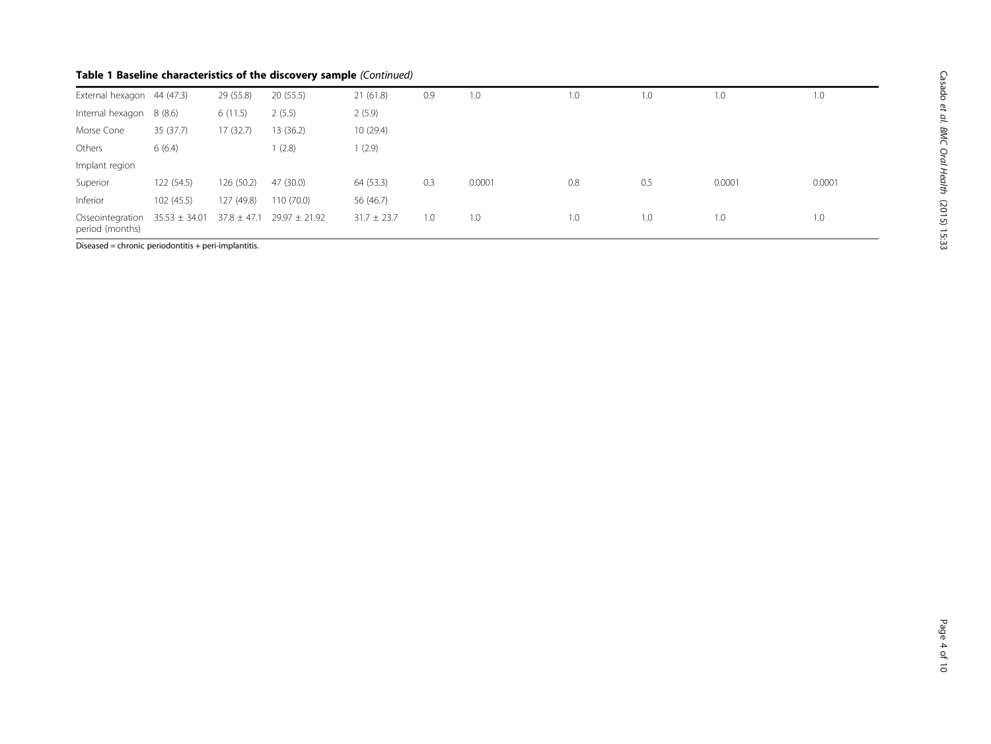# Table 1 Baseline characteristics of the discovery sample (Continued)

| External hexagon 44 (47.3)          |                   | 29 (55.8)       | 20(55.5)          | 21(61.8)        | 0.9 | 1.0    | 1.0 | 1.0 | 1.0    | 1.0    |
|-------------------------------------|-------------------|-----------------|-------------------|-----------------|-----|--------|-----|-----|--------|--------|
| Internal hexagon                    | 8 (8.6)           | 6(11.5)         | 2(5.5)            | 2(5.9)          |     |        |     |     |        |        |
| Morse Cone                          | 35 (37.7)         | 17(32.7)        | 13 (36.2)         | 10(29.4)        |     |        |     |     |        |        |
| Others                              | 6(6.4)            |                 | (2.8)             | (2.9)           |     |        |     |     |        |        |
| Implant region                      |                   |                 |                   |                 |     |        |     |     |        |        |
| Superior                            | 122(54.5)         | 126 (50.2)      | 47 (30.0)         | 64 (53.3)       | 0.3 | 0.0001 | 0.8 | 0.5 | 0.0001 | 0.0001 |
| Inferior                            | 102(45.5)         | 127 (49.8)      | 110 (70.0)        | 56 (46.7)       |     |        |     |     |        |        |
| Osseointegration<br>period (months) | $35.53 \pm 34.01$ | $37.8 \pm 47.1$ | $29.97 \pm 21.92$ | $31.7 \pm 23.7$ | 1.0 | 1.0    | 1.0 | 1.0 | 1.0    | 1.0    |

Diseased = chronic periodontitis + peri-implantitis.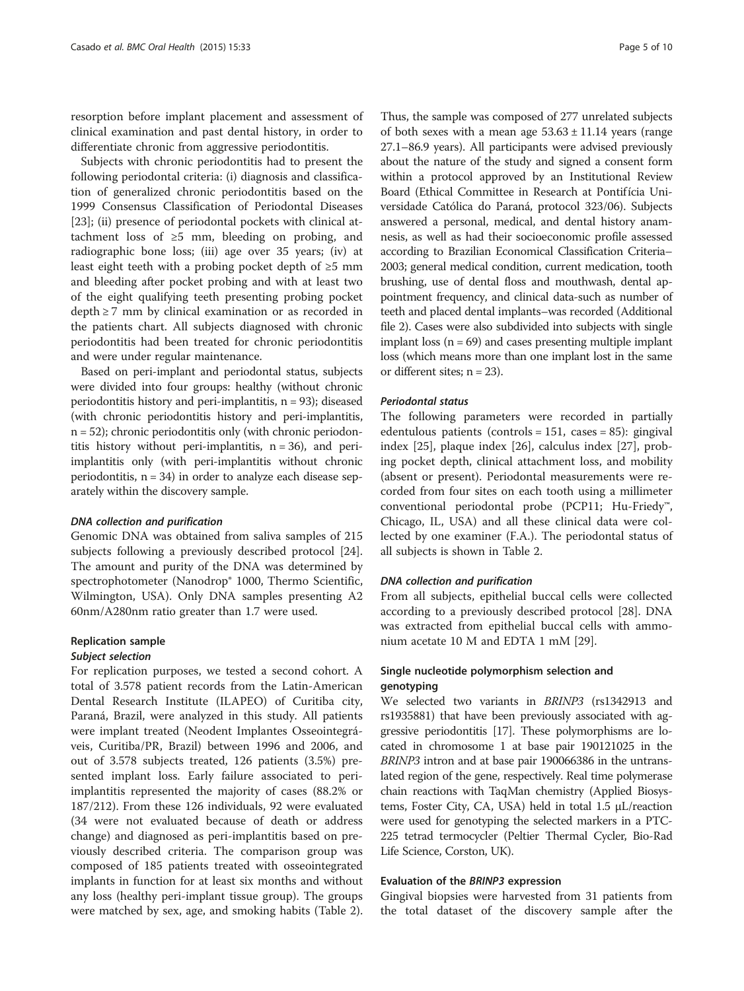resorption before implant placement and assessment of clinical examination and past dental history, in order to differentiate chronic from aggressive periodontitis.

Subjects with chronic periodontitis had to present the following periodontal criteria: (i) diagnosis and classification of generalized chronic periodontitis based on the 1999 Consensus Classification of Periodontal Diseases [[23\]](#page-9-0); (ii) presence of periodontal pockets with clinical attachment loss of  $\geq 5$  mm, bleeding on probing, and radiographic bone loss; (iii) age over 35 years; (iv) at least eight teeth with a probing pocket depth of  $\geq 5$  mm and bleeding after pocket probing and with at least two of the eight qualifying teeth presenting probing pocket  $depth \geq 7$  mm by clinical examination or as recorded in the patients chart. All subjects diagnosed with chronic periodontitis had been treated for chronic periodontitis and were under regular maintenance.

Based on peri-implant and periodontal status, subjects were divided into four groups: healthy (without chronic periodontitis history and peri-implantitis,  $n = 93$ ; diseased (with chronic periodontitis history and peri-implantitis, n = 52); chronic periodontitis only (with chronic periodontitis history without peri-implantitis,  $n = 36$ , and periimplantitis only (with peri-implantitis without chronic periodontitis,  $n = 34$ ) in order to analyze each disease separately within the discovery sample.

#### DNA collection and purification

Genomic DNA was obtained from saliva samples of 215 subjects following a previously described protocol [\[24](#page-9-0)]. The amount and purity of the DNA was determined by spectrophotometer (Nanodrop® 1000, Thermo Scientific, Wilmington, USA). Only DNA samples presenting A2 60nm/A280nm ratio greater than 1.7 were used.

#### Replication sample

#### Subject selection

For replication purposes, we tested a second cohort. A total of 3.578 patient records from the Latin-American Dental Research Institute (ILAPEO) of Curitiba city, Paraná, Brazil, were analyzed in this study. All patients were implant treated (Neodent Implantes Osseointegráveis, Curitiba/PR, Brazil) between 1996 and 2006, and out of 3.578 subjects treated, 126 patients (3.5%) presented implant loss. Early failure associated to periimplantitis represented the majority of cases (88.2% or 187/212). From these 126 individuals, 92 were evaluated (34 were not evaluated because of death or address change) and diagnosed as peri-implantitis based on previously described criteria. The comparison group was composed of 185 patients treated with osseointegrated implants in function for at least six months and without any loss (healthy peri-implant tissue group). The groups were matched by sex, age, and smoking habits (Table [2](#page-5-0)).

Thus, the sample was composed of 277 unrelated subjects of both sexes with a mean age  $53.63 \pm 11.14$  years (range 27.1–86.9 years). All participants were advised previously about the nature of the study and signed a consent form within a protocol approved by an Institutional Review Board (Ethical Committee in Research at Pontifícia Universidade Católica do Paraná, protocol 323/06). Subjects answered a personal, medical, and dental history anamnesis, as well as had their socioeconomic profile assessed according to Brazilian Economical Classification Criteria– 2003; general medical condition, current medication, tooth brushing, use of dental floss and mouthwash, dental appointment frequency, and clinical data-such as number of teeth and placed dental implants–was recorded (Additional file [2](#page-8-0)). Cases were also subdivided into subjects with single implant loss  $(n = 69)$  and cases presenting multiple implant loss (which means more than one implant lost in the same or different sites;  $n = 23$ ).

#### Periodontal status

The following parameters were recorded in partially edentulous patients (controls = 151, cases = 85): gingival index [[25\]](#page-9-0), plaque index [[26\]](#page-9-0), calculus index [\[27\]](#page-9-0), probing pocket depth, clinical attachment loss, and mobility (absent or present). Periodontal measurements were recorded from four sites on each tooth using a millimeter conventional periodontal probe (PCP11; Hu-Friedy™, Chicago, IL, USA) and all these clinical data were collected by one examiner (F.A.). The periodontal status of all subjects is shown in Table [2](#page-5-0).

#### DNA collection and purification

From all subjects, epithelial buccal cells were collected according to a previously described protocol [\[28\]](#page-9-0). DNA was extracted from epithelial buccal cells with ammonium acetate 10 M and EDTA 1 mM [[29\]](#page-9-0).

### Single nucleotide polymorphism selection and genotyping

We selected two variants in BRINP3 (rs1342913 and rs1935881) that have been previously associated with aggressive periodontitis [[17](#page-9-0)]. These polymorphisms are located in chromosome 1 at base pair 190121025 in the BRINP3 intron and at base pair 190066386 in the untranslated region of the gene, respectively. Real time polymerase chain reactions with TaqMan chemistry (Applied Biosystems, Foster City, CA, USA) held in total 1.5 μL/reaction were used for genotyping the selected markers in a PTC-225 tetrad termocycler (Peltier Thermal Cycler, Bio-Rad Life Science, Corston, UK).

#### Evaluation of the BRINP3 expression

Gingival biopsies were harvested from 31 patients from the total dataset of the discovery sample after the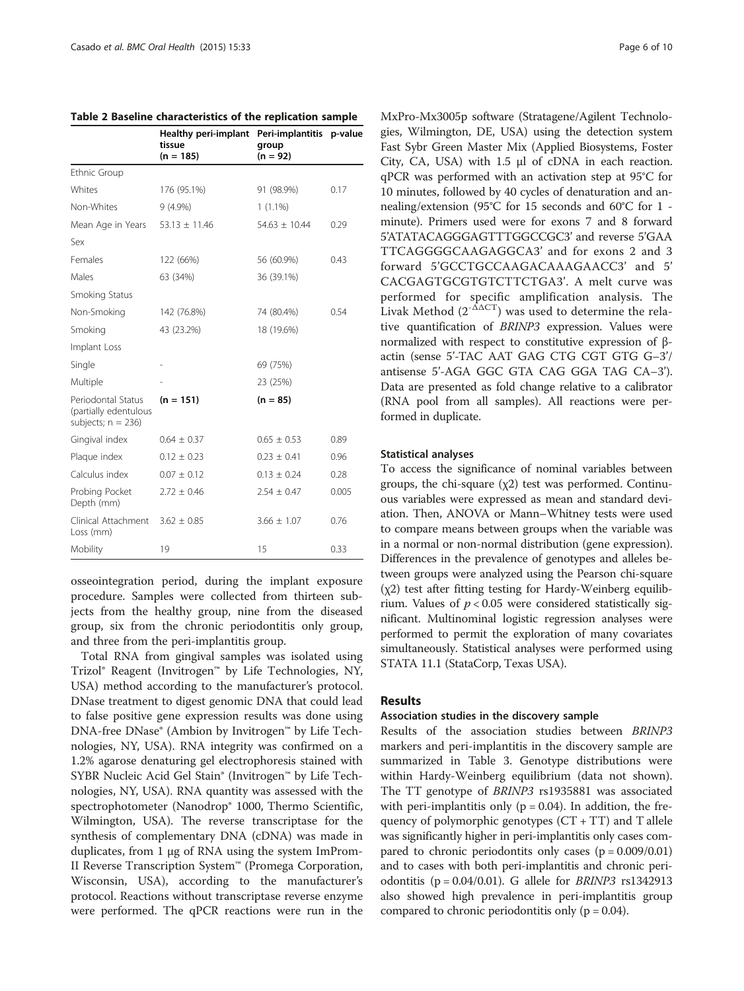<span id="page-5-0"></span>

|                                                                      | Healthy peri-implant<br>tissue<br>$(n = 185)$ | Peri-implantitis p-value<br>group<br>$(n = 92)$ |       |
|----------------------------------------------------------------------|-----------------------------------------------|-------------------------------------------------|-------|
| Ethnic Group                                                         |                                               |                                                 |       |
| Whites                                                               | 176 (95.1%)                                   | 91 (98.9%)                                      | 0.17  |
| Non-Whites                                                           | $9(4.9\%)$                                    | $1(1.1\%)$                                      |       |
| Mean Age in Years                                                    | $53.13 \pm 11.46$                             | $54.63 \pm 10.44$                               | 0.29  |
| Sex                                                                  |                                               |                                                 |       |
| Females                                                              | 122 (66%)                                     | 56 (60.9%)                                      | 0.43  |
| Males                                                                | 63 (34%)                                      | 36 (39.1%)                                      |       |
| Smoking Status                                                       |                                               |                                                 |       |
| Non-Smoking                                                          | 142 (76.8%)                                   | 74 (80.4%)                                      | 0.54  |
| Smoking                                                              | 43 (23.2%)                                    | 18 (19.6%)                                      |       |
| Implant Loss                                                         |                                               |                                                 |       |
| Single                                                               |                                               | 69 (75%)                                        |       |
| Multiple                                                             |                                               | 23 (25%)                                        |       |
| Periodontal Status<br>(partially edentulous<br>subjects; $n = 236$ ) | $(n = 151)$                                   | $(n = 85)$                                      |       |
| Gingival index                                                       | $0.64 \pm 0.37$                               | $0.65 \pm 0.53$                                 | 0.89  |
| Plaque index                                                         | $0.12 \pm 0.23$                               | $0.23 \pm 0.41$                                 | 0.96  |
| Calculus index                                                       | $0.07 \pm 0.12$                               | $0.13 \pm 0.24$                                 | 0.28  |
| Probing Pocket<br>Depth (mm)                                         | $2.72 \pm 0.46$                               | $2.54 \pm 0.47$                                 | 0.005 |
| Clinical Attachment<br>Loss (mm)                                     | $3.62 \pm 0.85$                               | $3.66 \pm 1.07$                                 | 0.76  |
| Mobility                                                             | 19                                            | 15                                              | 0.33  |

osseointegration period, during the implant exposure procedure. Samples were collected from thirteen subjects from the healthy group, nine from the diseased group, six from the chronic periodontitis only group, and three from the peri-implantitis group.

Total RNA from gingival samples was isolated using Trizol® Reagent (Invitrogen™ by Life Technologies, NY, USA) method according to the manufacturer's protocol. DNase treatment to digest genomic DNA that could lead to false positive gene expression results was done using DNA-free DNase® (Ambion by Invitrogen™ by Life Technologies, NY, USA). RNA integrity was confirmed on a 1.2% agarose denaturing gel electrophoresis stained with SYBR Nucleic Acid Gel Stain® (Invitrogen™ by Life Technologies, NY, USA). RNA quantity was assessed with the spectrophotometer (Nanodrop® 1000, Thermo Scientific, Wilmington, USA). The reverse transcriptase for the synthesis of complementary DNA (cDNA) was made in duplicates, from 1 μg of RNA using the system ImProm-II Reverse Transcription System™ (Promega Corporation, Wisconsin, USA), according to the manufacturer's protocol. Reactions without transcriptase reverse enzyme were performed. The qPCR reactions were run in the MxPro-Mx3005p software (Stratagene/Agilent Technologies, Wilmington, DE, USA) using the detection system Fast Sybr Green Master Mix (Applied Biosystems, Foster City, CA, USA) with 1.5 μl of cDNA in each reaction. qPCR was performed with an activation step at 95°C for 10 minutes, followed by 40 cycles of denaturation and annealing/extension (95°C for 15 seconds and 60°C for 1 minute). Primers used were for exons 7 and 8 forward 5'ATATACAGGGAGTTTGGCCGC3' and reverse 5'GAA TTCAGGGGCAAGAGGCA3' and for exons 2 and 3 forward 5'GCCTGCCAAGACAAAGAACC3' and 5' CACGAGTGCGTGTCTTCTGA3'. A melt curve was performed for specific amplification analysis. The Livak Method  $(2^{-\Delta\Delta CT})$  was used to determine the relative quantification of BRINP3 expression. Values were normalized with respect to constitutive expression of βactin (sense 5'-TAC AAT GAG CTG CGT GTG G–3'/ antisense 5'-AGA GGC GTA CAG GGA TAG CA–3'). Data are presented as fold change relative to a calibrator (RNA pool from all samples). All reactions were performed in duplicate.

#### Statistical analyses

To access the significance of nominal variables between groups, the chi-square (χ2) test was performed. Continuous variables were expressed as mean and standard deviation. Then, ANOVA or Mann–Whitney tests were used to compare means between groups when the variable was in a normal or non-normal distribution (gene expression). Differences in the prevalence of genotypes and alleles between groups were analyzed using the Pearson chi-square (χ2) test after fitting testing for Hardy-Weinberg equilibrium. Values of  $p < 0.05$  were considered statistically significant. Multinominal logistic regression analyses were performed to permit the exploration of many covariates simultaneously. Statistical analyses were performed using STATA 11.1 (StataCorp, Texas USA).

#### Results

### Association studies in the discovery sample

Results of the association studies between BRINP3 markers and peri-implantitis in the discovery sample are summarized in Table [3.](#page-6-0) Genotype distributions were within Hardy-Weinberg equilibrium (data not shown). The TT genotype of BRINP3 rs1935881 was associated with peri-implantitis only ( $p = 0.04$ ). In addition, the frequency of polymorphic genotypes  $(CT + TT)$  and T allele was significantly higher in peri-implantitis only cases compared to chronic periodontits only cases  $(p = 0.009/0.01)$ and to cases with both peri-implantitis and chronic periodontitis ( $p = 0.04/0.01$ ). G allele for *BRINP3* rs1342913 also showed high prevalence in peri-implantitis group compared to chronic periodontitis only ( $p = 0.04$ ).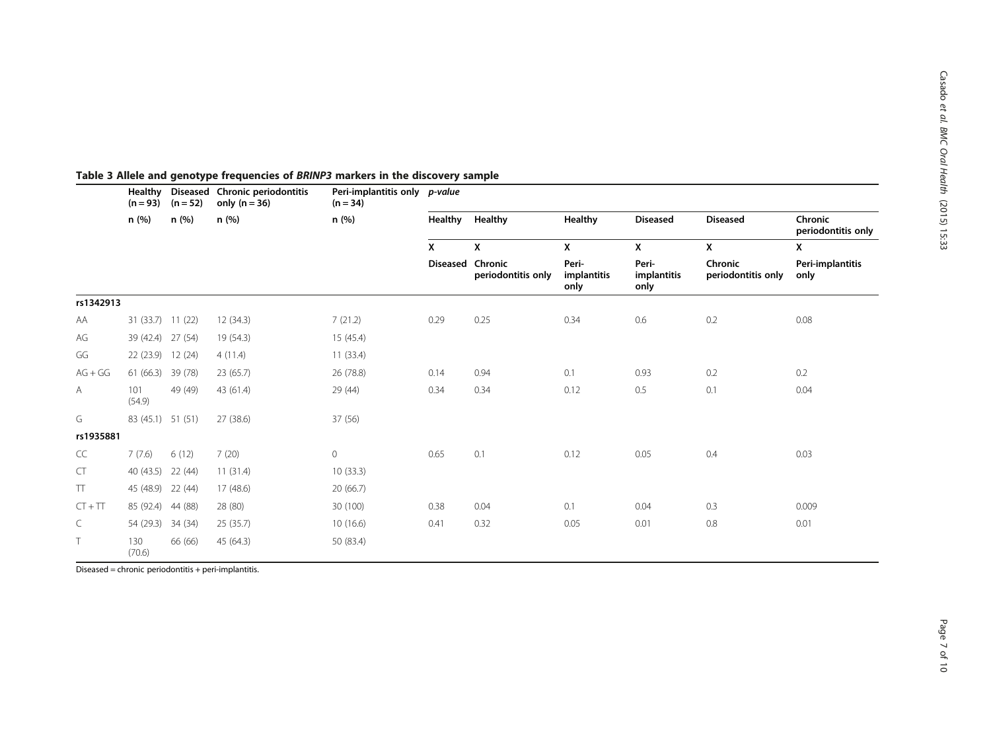|           | Healthy<br>$(n = 93)$ | $(n = 52)$<br>n (%) | Diseased Chronic periodontitis<br>only $(n = 36)$<br>n (%) | Peri-implantitis only <i>p-value</i><br>$(n = 34)$<br>n (%) |                  |                    |                              |                              |                               |                               |  |
|-----------|-----------------------|---------------------|------------------------------------------------------------|-------------------------------------------------------------|------------------|--------------------|------------------------------|------------------------------|-------------------------------|-------------------------------|--|
|           | n(%)                  |                     |                                                            |                                                             | Healthy Healthy  |                    | <b>Healthy</b>               | <b>Diseased</b>              | <b>Diseased</b>               | Chronic<br>periodontitis only |  |
|           |                       |                     |                                                            |                                                             | X                | X                  | X                            | X                            | X                             | X                             |  |
|           |                       |                     |                                                            |                                                             | Diseased Chronic | periodontitis only | Peri-<br>implantitis<br>only | Peri-<br>implantitis<br>only | Chronic<br>periodontitis only | Peri-implantitis<br>only      |  |
| rs1342913 |                       |                     |                                                            |                                                             |                  |                    |                              |                              |                               |                               |  |
| AA        | 31 (33.7) 11 (22)     |                     | 12(34.3)                                                   | 7(21.2)                                                     | 0.29             | 0.25               | 0.34                         | 0.6                          | 0.2                           | 0.08                          |  |
| AG        | 39 (42.4) 27 (54)     |                     | 19 (54.3)                                                  | 15(45.4)                                                    |                  |                    |                              |                              |                               |                               |  |
| GG        | 22(23.9)              | 12(24)              | 4(11.4)                                                    | 11(33.4)                                                    |                  |                    |                              |                              |                               |                               |  |
| $AG + GG$ | 61 (66.3)             | 39 (78)             | 23(65.7)                                                   | 26 (78.8)                                                   | 0.14             | 0.94               | 0.1                          | 0.93                         | 0.2                           | 0.2                           |  |
| Α         | 101<br>(54.9)         | 49 (49)             | 43 (61.4)                                                  | 29 (44)                                                     | 0.34             | 0.34               | 0.12                         | 0.5                          | 0.1                           | 0.04                          |  |
| G         | 83 (45.1) 51 (51)     |                     | 27 (38.6)                                                  | 37 (56)                                                     |                  |                    |                              |                              |                               |                               |  |
| rs1935881 |                       |                     |                                                            |                                                             |                  |                    |                              |                              |                               |                               |  |
| CC        | 7(7.6)                | 6(12)               | 7(20)                                                      | $\mathsf{O}\xspace$                                         | 0.65             | 0.1                | 0.12                         | 0.05                         | 0.4                           | 0.03                          |  |
| CT        | 40 (43.5) 22 (44)     |                     | 11(31.4)                                                   | 10(33.3)                                                    |                  |                    |                              |                              |                               |                               |  |
| TT        | 45 (48.9)             | 22 (44)             | 17 (48.6)                                                  | 20(66.7)                                                    |                  |                    |                              |                              |                               |                               |  |
| $CT + TT$ | 85 (92.4)             | 44 (88)             | 28 (80)                                                    | 30 (100)                                                    | 0.38             | 0.04               | 0.1                          | 0.04                         | 0.3                           | 0.009                         |  |
| C         | 54 (29.3)             | 34 (34)             | 25(35.7)                                                   | 10(16.6)                                                    | 0.41             | 0.32               | 0.05                         | 0.01                         | 0.8                           | 0.01                          |  |
| T         | 130<br>(70.6)         | 66 (66)             | 45 (64.3)                                                  | 50 (83.4)                                                   |                  |                    |                              |                              |                               |                               |  |

#### <span id="page-6-0"></span>Table 3 Allele and genotype frequencies of BRINP3 markers in the discovery sample

Diseased = chronic periodontitis + peri-implantitis.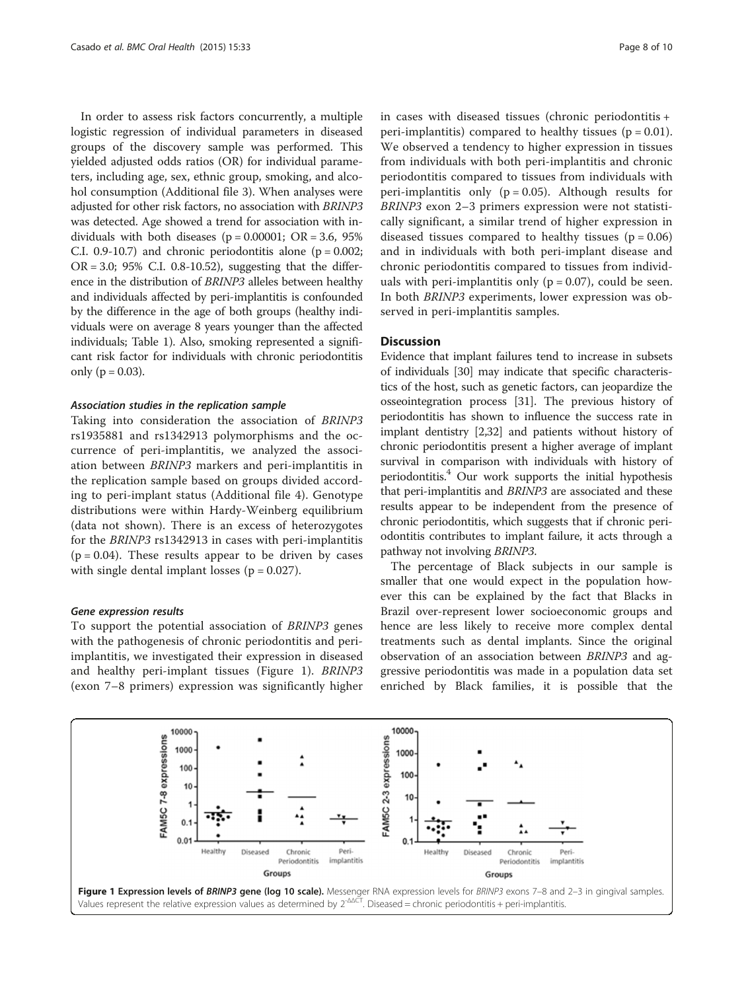In order to assess risk factors concurrently, a multiple logistic regression of individual parameters in diseased groups of the discovery sample was performed. This yielded adjusted odds ratios (OR) for individual parameters, including age, sex, ethnic group, smoking, and alcohol consumption (Additional file [3\)](#page-8-0). When analyses were adjusted for other risk factors, no association with BRINP3 was detected. Age showed a trend for association with individuals with both diseases ( $p = 0.00001$ ; OR = 3.6, 95% C.I. 0.9-10.7) and chronic periodontitis alone ( $p = 0.002$ ;  $OR = 3.0$ ; 95% C.I. 0.8-10.52), suggesting that the difference in the distribution of BRINP3 alleles between healthy and individuals affected by peri-implantitis is confounded by the difference in the age of both groups (healthy individuals were on average 8 years younger than the affected individuals; Table [1](#page-2-0)). Also, smoking represented a significant risk factor for individuals with chronic periodontitis only ( $p = 0.03$ ).

#### Association studies in the replication sample

Taking into consideration the association of BRINP3 rs1935881 and rs1342913 polymorphisms and the occurrence of peri-implantitis, we analyzed the association between BRINP3 markers and peri-implantitis in the replication sample based on groups divided according to peri-implant status (Additional file [4](#page-8-0)). Genotype distributions were within Hardy-Weinberg equilibrium (data not shown). There is an excess of heterozygotes for the BRINP3 rs1342913 in cases with peri-implantitis  $(p = 0.04)$ . These results appear to be driven by cases with single dental implant losses ( $p = 0.027$ ).

#### Gene expression results

To support the potential association of BRINP3 genes with the pathogenesis of chronic periodontitis and periimplantitis, we investigated their expression in diseased and healthy peri-implant tissues (Figure 1). BRINP3 (exon 7–8 primers) expression was significantly higher in cases with diseased tissues (chronic periodontitis + peri-implantitis) compared to healthy tissues  $(p = 0.01)$ . We observed a tendency to higher expression in tissues from individuals with both peri-implantitis and chronic periodontitis compared to tissues from individuals with peri-implantitis only  $(p = 0.05)$ . Although results for BRINP3 exon 2–3 primers expression were not statistically significant, a similar trend of higher expression in diseased tissues compared to healthy tissues  $(p = 0.06)$ and in individuals with both peri-implant disease and chronic periodontitis compared to tissues from individuals with peri-implantitis only ( $p = 0.07$ ), could be seen. In both BRINP3 experiments, lower expression was observed in peri-implantitis samples.

#### **Discussion**

Evidence that implant failures tend to increase in subsets of individuals [\[30\]](#page-9-0) may indicate that specific characteristics of the host, such as genetic factors, can jeopardize the osseointegration process [[31](#page-9-0)]. The previous history of periodontitis has shown to influence the success rate in implant dentistry [\[2](#page-8-0)[,32\]](#page-9-0) and patients without history of chronic periodontitis present a higher average of implant survival in comparison with individuals with history of periodontitis. $4$  Our work supports the initial hypothesis that peri-implantitis and BRINP3 are associated and these results appear to be independent from the presence of chronic periodontitis, which suggests that if chronic periodontitis contributes to implant failure, it acts through a pathway not involving BRINP3.

The percentage of Black subjects in our sample is smaller that one would expect in the population however this can be explained by the fact that Blacks in Brazil over-represent lower socioeconomic groups and hence are less likely to receive more complex dental treatments such as dental implants. Since the original observation of an association between BRINP3 and aggressive periodontitis was made in a population data set enriched by Black families, it is possible that the

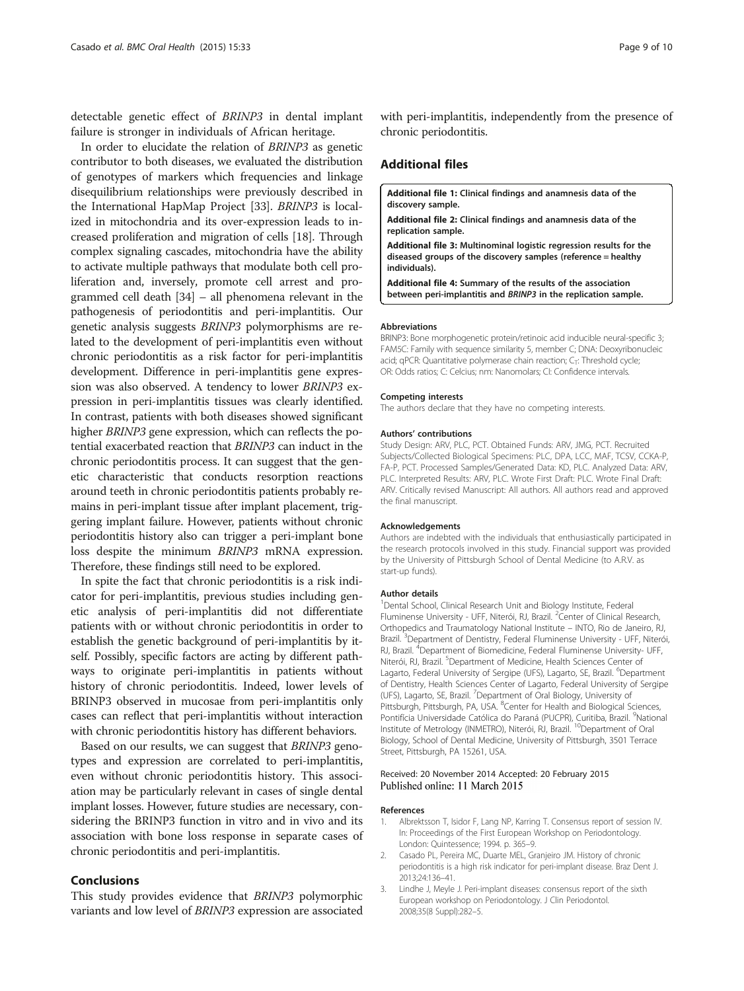<span id="page-8-0"></span>detectable genetic effect of BRINP3 in dental implant failure is stronger in individuals of African heritage.

In order to elucidate the relation of BRINP3 as genetic contributor to both diseases, we evaluated the distribution of genotypes of markers which frequencies and linkage disequilibrium relationships were previously described in the International HapMap Project [[33](#page-9-0)]. BRINP3 is localized in mitochondria and its over-expression leads to increased proliferation and migration of cells [\[18\]](#page-9-0). Through complex signaling cascades, mitochondria have the ability to activate multiple pathways that modulate both cell proliferation and, inversely, promote cell arrest and programmed cell death [\[34](#page-9-0)] – all phenomena relevant in the pathogenesis of periodontitis and peri-implantitis. Our genetic analysis suggests BRINP3 polymorphisms are related to the development of peri-implantitis even without chronic periodontitis as a risk factor for peri-implantitis development. Difference in peri-implantitis gene expression was also observed. A tendency to lower BRINP3 expression in peri-implantitis tissues was clearly identified. In contrast, patients with both diseases showed significant higher *BRINP3* gene expression, which can reflects the potential exacerbated reaction that BRINP3 can induct in the chronic periodontitis process. It can suggest that the genetic characteristic that conducts resorption reactions around teeth in chronic periodontitis patients probably remains in peri-implant tissue after implant placement, triggering implant failure. However, patients without chronic periodontitis history also can trigger a peri-implant bone loss despite the minimum BRINP3 mRNA expression. Therefore, these findings still need to be explored.

In spite the fact that chronic periodontitis is a risk indicator for peri-implantitis, previous studies including genetic analysis of peri-implantitis did not differentiate patients with or without chronic periodontitis in order to establish the genetic background of peri-implantitis by itself. Possibly, specific factors are acting by different pathways to originate peri-implantitis in patients without history of chronic periodontitis. Indeed, lower levels of BRINP3 observed in mucosae from peri-implantitis only cases can reflect that peri-implantitis without interaction with chronic periodontitis history has different behaviors.

Based on our results, we can suggest that BRINP3 genotypes and expression are correlated to peri-implantitis, even without chronic periodontitis history. This association may be particularly relevant in cases of single dental implant losses. However, future studies are necessary, considering the BRINP3 function in vitro and in vivo and its association with bone loss response in separate cases of chronic periodontitis and peri-implantitis.

#### Conclusions

This study provides evidence that BRINP3 polymorphic variants and low level of BRINP3 expression are associated with peri-implantitis, independently from the presence of chronic periodontitis.

#### Additional files

[Additional file 1:](http://www.biomedcentral.com/content/supplementary/s12903-015-0018-6-s1.pdf) Clinical findings and anamnesis data of the discovery sample.

[Additional file 2:](http://www.biomedcentral.com/content/supplementary/s12903-015-0018-6-s2.pdf) Clinical findings and anamnesis data of the replication sample.

[Additional file 3:](http://www.biomedcentral.com/content/supplementary/s12903-015-0018-6-s3.pdf) Multinominal logistic regression results for the diseased groups of the discovery samples (reference = healthy individuals).

[Additional file 4:](http://www.biomedcentral.com/content/supplementary/s12903-015-0018-6-s4.pdf) Summary of the results of the association between peri-implantitis and BRINP3 in the replication sample.

#### Abbreviations

BRINP3: Bone morphogenetic protein/retinoic acid inducible neural-specific 3; FAM5C: Family with sequence similarity 5, member C; DNA: Deoxyribonucleic acid; qPCR: Quantitative polymerase chain reaction;  $C_T$ : Threshold cycle; OR: Odds ratios; C: Celcius; nm: Nanomolars; CI: Confidence intervals.

#### Competing interests

The authors declare that they have no competing interests.

#### Authors' contributions

Study Design: ARV, PLC, PCT. Obtained Funds: ARV, JMG, PCT. Recruited Subjects/Collected Biological Specimens: PLC, DPA, LCC, MAF, TCSV, CCKA-P, FA-P, PCT. Processed Samples/Generated Data: KD, PLC. Analyzed Data: ARV, PLC. Interpreted Results: ARV, PLC. Wrote First Draft: PLC. Wrote Final Draft: ARV. Critically revised Manuscript: All authors. All authors read and approved the final manuscript.

#### Acknowledgements

Authors are indebted with the individuals that enthusiastically participated in the research protocols involved in this study. Financial support was provided by the University of Pittsburgh School of Dental Medicine (to A.R.V. as start-up funds).

#### Author details

<sup>1</sup> Dental School, Clinical Research Unit and Biology Institute, Federal Fluminense University - UFF, Niterói, RJ, Brazil. <sup>2</sup> Center of Clinical Research Orthopedics and Traumatology National Institute – INTO, Rio de Janeiro, RJ, Brazil.<sup>3</sup> Department of Dentistry, Federal Fluminense University - UFF, Niterói RJ, Brazil. <sup>4</sup>Department of Biomedicine, Federal Fluminense University- UFF, Niterói, RJ, Brazil. <sup>5</sup>Department of Medicine, Health Sciences Center of Lagarto, Federal University of Sergipe (UFS), Lagarto, SE, Brazil. <sup>6</sup>Department of Dentistry, Health Sciences Center of Lagarto, Federal University of Sergipe (UFS), Lagarto, SE, Brazil. <sup>7</sup>Department of Oral Biology, University of Pittsburgh, Pittsburgh, PA, USA. <sup>8</sup>Center for Health and Biological Sciences, Pontifícia Universidade Católica do Paraná (PUCPR), Curitiba, Brazil. <sup>9</sup>National Institute of Metrology (INMETRO), Niterói, RJ, Brazil. <sup>10</sup>Department of Oral Biology, School of Dental Medicine, University of Pittsburgh, 3501 Terrace Street, Pittsburgh, PA 15261, USA.

#### Received: 20 November 2014 Accepted: 20 February 2015 Published online: 11 March 2015

#### References

- 1. Albrektsson T, Isidor F, Lang NP, Karring T. Consensus report of session IV. In: Proceedings of the First European Workshop on Periodontology. London: Quintessence; 1994. p. 365–9.
- 2. Casado PL, Pereira MC, Duarte MEL, Granjeiro JM. History of chronic periodontitis is a high risk indicator for peri-implant disease. Braz Dent J. 2013;24:136–41.
- 3. Lindhe J, Meyle J. Peri-implant diseases: consensus report of the sixth European workshop on Periodontology. J Clin Periodontol. 2008;35(8 Suppl):282–5.